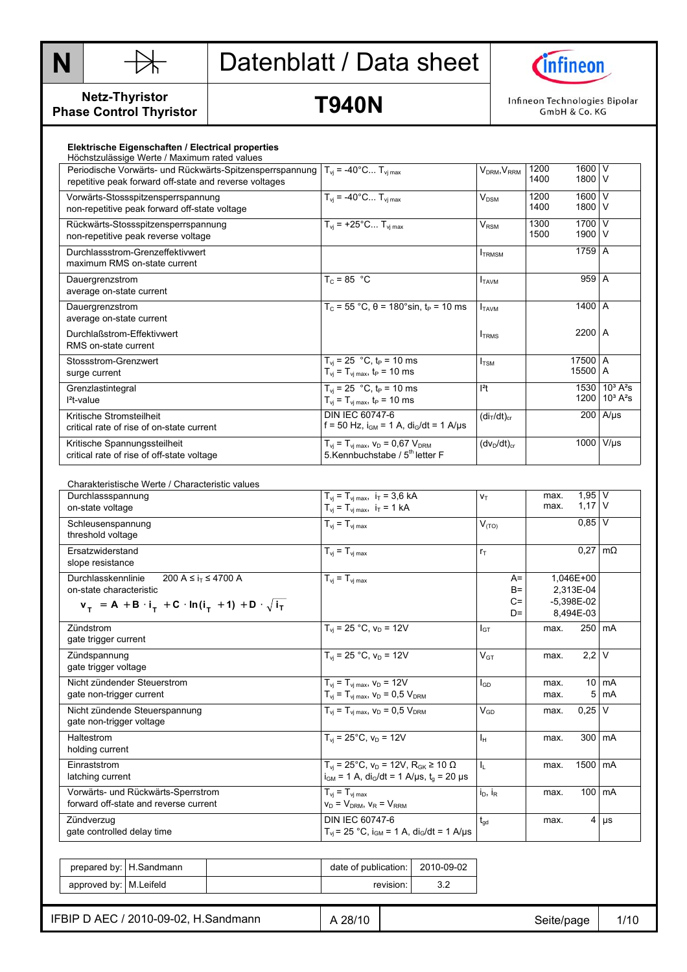



#### **Netz-Thyristor Phase Control Thyristor**

# **T940N**

Infineon Technologies Bipolar<br>GmbH & Co. KG

|  | Elektrische Eigenschaften / Electrical properties |  |  |
|--|---------------------------------------------------|--|--|
|--|---------------------------------------------------|--|--|

| Höchstzulässige Werte / Maximum rated values             |                                                  |                                                        |      |          |                              |
|----------------------------------------------------------|--------------------------------------------------|--------------------------------------------------------|------|----------|------------------------------|
| Periodische Vorwärts- und Rückwärts-Spitzensperrspannung | $T_{vi} = -40^{\circ}C T_{vj \, max}$            | $\mathsf{V}_{\mathsf{DRM}}, \mathsf{V}_{\mathsf{RRM}}$ | 1200 | 1600     | ١v                           |
| repetitive peak forward off-state and reverse voltages   |                                                  |                                                        | 1400 | 1800 V   |                              |
|                                                          |                                                  |                                                        |      |          |                              |
| Vorwärts-Stossspitzensperrspannung                       | $\overline{T_{vi}}$ = -40°C $T_{vj \, max}$      | $V_{DSM}$                                              | 1200 | 1600 V   |                              |
| non-repetitive peak forward off-state voltage            |                                                  |                                                        | 1400 | 1800     | $\vee$                       |
| Rückwärts-Stossspitzensperrspannung                      | $T_{vi}$ = +25°C $T_{vj \text{ max}}$            | $\mathsf{V}_\mathsf{RSM}$                              | 1300 | 1700 V   |                              |
| non-repetitive peak reverse voltage                      |                                                  |                                                        | 1500 | 1900 V   |                              |
|                                                          |                                                  |                                                        |      |          |                              |
| Durchlassstrom-Grenzeffektivwert                         |                                                  | <b>TRMSM</b>                                           |      | $1759$ A |                              |
| maximum RMS on-state current                             |                                                  |                                                        |      |          |                              |
| Dauergrenzstrom                                          | $T_c = 85$ °C                                    | <b>I</b> TAVM                                          |      | 959 A    |                              |
|                                                          |                                                  |                                                        |      |          |                              |
| average on-state current                                 |                                                  |                                                        |      |          |                              |
| Dauergrenzstrom                                          | $T_c$ = 55 °C, $\theta$ = 180°sin, $t_P$ = 10 ms | <b>I</b> TAVM                                          |      | 1400 A   |                              |
| average on-state current                                 |                                                  |                                                        |      |          |                              |
| Durchlaßstrom-Effektivwert                               |                                                  |                                                        |      | 2200 A   |                              |
|                                                          |                                                  | <b>ITRMS</b>                                           |      |          |                              |
| RMS on-state current                                     |                                                  |                                                        |      |          |                              |
| Stossstrom-Grenzwert                                     | $T_{vi}$ = 25 °C, t <sub>P</sub> = 10 ms         | I <sub>TSM</sub>                                       |      | 17500 A  |                              |
| surge current                                            | $T_{vi} = T_{vi \, max}$ , $t_P = 10 \, ms$      |                                                        |      | 15500 A  |                              |
|                                                          |                                                  |                                                        |      |          |                              |
| Grenzlastintegral                                        | $T_{vi}$ = 25 °C, t <sub>P</sub> = 10 ms         | $l^2t$                                                 |      |          | 1530 $10^3$ A <sup>2</sup> s |
| $l^2t$ -value                                            | $T_{vi} = T_{vi \, max}$ , $t_P = 10 \, ms$      |                                                        |      |          | 1200 $10^3$ A <sup>2</sup> s |
| Kritische Stromsteilheit                                 | DIN IEC 60747-6                                  | (di <sub>T</sub> /dt) <sub>cr</sub>                    |      |          | $200$ A/µs                   |
| critical rate of rise of on-state current                | f = 50 Hz, $i_{GM}$ = 1 A, $di_G/dt$ = 1 A/µs    |                                                        |      |          |                              |
|                                                          |                                                  |                                                        |      |          |                              |
| Kritische Spannungssteilheit                             | $T_{vi} = T_{vj \, max}, v_D = 0.67$ $V_{DRM}$   | $(dv_D/dt)_{cr}$                                       |      | 1000     | $V/\mu s$                    |
| critical rate of rise of off-state voltage               | 5. Kennbuchstabe / 5 <sup>th</sup> letter F      |                                                        |      |          |                              |
|                                                          |                                                  |                                                        |      |          |                              |

| Charakteristische Werte / Characteristic values                                    |                                                                      |                 |       |              |                        |                 |
|------------------------------------------------------------------------------------|----------------------------------------------------------------------|-----------------|-------|--------------|------------------------|-----------------|
| Durchlassspannung                                                                  | $T_{vi} = T_{vi \, max}$ , $i_T = 3.6$ kA                            | $V_T$           |       | max.<br>max. | $1,95$ V<br>$1,17$ V   |                 |
| on-state voltage                                                                   | $T_{vi} = T_{vi \, max}$ , $i_T = 1$ kA                              |                 |       |              |                        |                 |
| Schleusenspannung                                                                  | $T_{vi} = T_{vi \, max}$                                             | $V_{(TO)}$      |       |              | $0.85$ V               |                 |
| threshold voltage                                                                  |                                                                      |                 |       |              |                        |                 |
| Ersatzwiderstand                                                                   | $T_{vi} = T_{vi \, max}$                                             | $r_T$           |       |              | $0.27 \text{ m}\Omega$ |                 |
| slope resistance                                                                   |                                                                      |                 |       |              |                        |                 |
| Durchlasskennlinie<br>200 A ≤ i <sub>T</sub> ≤ 4700 A                              | $T_{vi} = T_{vi \, max}$                                             |                 | $A=$  |              | 1.046E+00              |                 |
| on-state characteristic                                                            |                                                                      |                 | $B =$ |              | 2,313E-04              |                 |
| $v_{T}$ = A + B · i <sub>T</sub> + C · ln(i <sub>T</sub> + 1) + D · $\sqrt{i_{T}}$ |                                                                      |                 | $C =$ |              | $-5,398E-02$           |                 |
|                                                                                    |                                                                      |                 | $D=$  |              | 8,494E-03              |                 |
| Zündstrom                                                                          | $T_{\text{vi}}$ = 25 °C, $v_{\text{D}}$ = 12V                        | $I_{GT}$        |       | max.         | 250 mA                 |                 |
| gate trigger current                                                               |                                                                      |                 |       |              |                        |                 |
| Zündspannung                                                                       | $T_{vi}$ = 25 °C, $v_D$ = 12V                                        | $V_{GT}$        |       | max.         | $2.2$ V                |                 |
| gate trigger voltage                                                               |                                                                      |                 |       |              |                        |                 |
| Nicht zündender Steuerstrom                                                        | $T_{vi} = T_{vi \, max}$ , $V_D = 12V$                               | $I_{GD}$        |       | max.         |                        | $10 \text{ mA}$ |
| gate non-trigger current                                                           | $T_{vi} = T_{vi \, max}$ , $V_D = 0.5 V_{DRM}$                       |                 |       | max.         |                        | $5 \text{ mA}$  |
| Nicht zündende Steuerspannung                                                      | $T_{vi}$ = $T_{vi \, max}$ , $V_D$ = 0.5 $V_{DRM}$                   | $V_{GD}$        |       | max.         | $0.25$ V               |                 |
| gate non-trigger voltage                                                           |                                                                      |                 |       |              |                        |                 |
| Haltestrom                                                                         | $T_{vi}$ = 25°C, $v_D$ = 12V                                         | Iн              |       | max.         | $300 \text{ mA}$       |                 |
| holding current                                                                    |                                                                      |                 |       |              |                        |                 |
| Einraststrom                                                                       | $Tvi$ = 25°C, $VD$ = 12V, R <sub>GK</sub> ≥ 10 Ω                     | $I_L$           |       | max.         | 1500 mA                |                 |
| latching current                                                                   | $i_{GM}$ = 1 A, di <sub>G</sub> /dt = 1 A/µs, t <sub>o</sub> = 20 µs |                 |       |              |                        |                 |
| Vorwärts- und Rückwärts-Sperrstrom                                                 | $T_{vi} = T_{vi \, max}$                                             | $i_D$ , $i_R$   |       | max.         | $100 \, \text{mA}$     |                 |
| forward off-state and reverse current                                              | $V_D = V_{DRM}$ , $V_R = V_{RRM}$                                    |                 |       |              |                        |                 |
| Zündverzug                                                                         | DIN IEC 60747-6                                                      | $t_{\text{qd}}$ |       | max.         |                        | $4 \mu s$       |
| gate controlled delay time                                                         | $T_{vi}$ = 25 °C, $i_{GM}$ = 1 A, $di_G/dt$ = 1 A/ $\mu$ s           |                 |       |              |                        |                 |

|                          | prepared by: H.Sandmann | date of publication: I | 2010-09-02 |
|--------------------------|-------------------------|------------------------|------------|
| approved by:   M.Leifeld |                         | revision:              |            |

IFBIP D AEC / 2010-09-02, H.Sandmann  $AB/28/10$   $AB/10$   $B/10$   $B/10$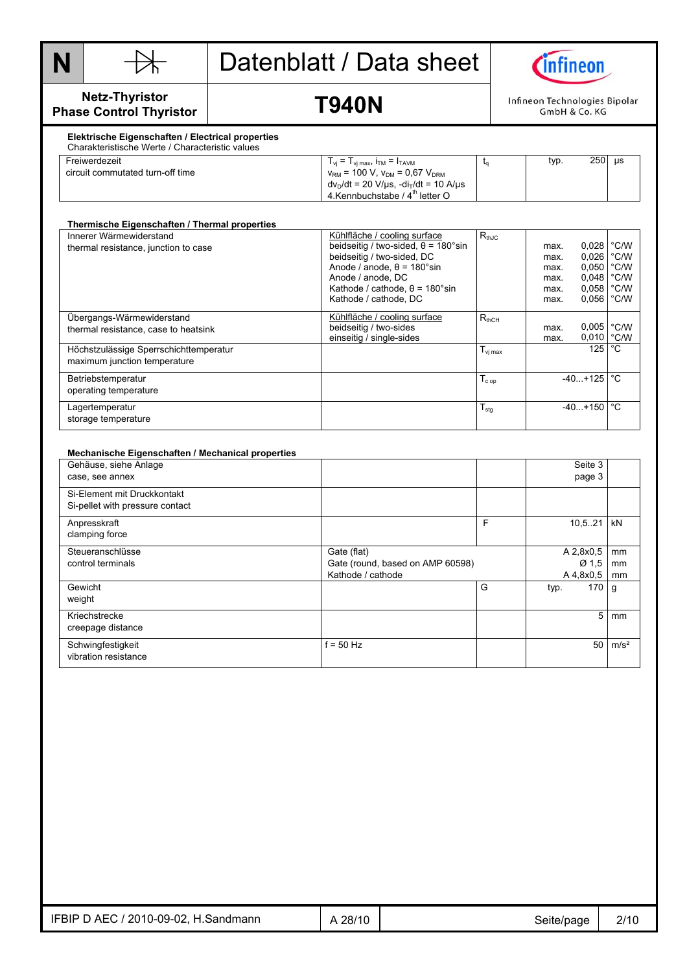



**Netz-Thyristor Phase Control Thyristor** 

### **T940N**

Infineon Technologies Bipolar GmbH & Co. KG

#### **Elektrische Eigenschaften / Electrical properties**  Charakteristische Werte / Characteristic values

| Freiwerdezeit                    | $T_{vi}$ = $T_{vi \, max}$ , $T_{TM}$ = $T_{TAVM}$                           | typ. | 250 | <b>us</b> |
|----------------------------------|------------------------------------------------------------------------------|------|-----|-----------|
| circuit commutated turn-off time | $v_{\text{RM}}$ = 100 V, $v_{\text{DM}}$ = 0.67 $V_{\text{DRM}}$             |      |     |           |
|                                  | $dv_D/dt = 20 \text{ V/}\mu\text{s}$ , $-di_T/dt = 10 \text{ A/}\mu\text{s}$ |      |     |           |
|                                  | 4. Kennbuchstabe / $4^{\text{th}}$ letter O                                  |      |     |           |

| Thermische Eigenschaften / Thermal properties                          |                                                                                                                                                                                                                                      |                     |                                              |                                                                              |                                        |
|------------------------------------------------------------------------|--------------------------------------------------------------------------------------------------------------------------------------------------------------------------------------------------------------------------------------|---------------------|----------------------------------------------|------------------------------------------------------------------------------|----------------------------------------|
| Innerer Wärmewiderstand<br>thermal resistance, junction to case        | Kühlfläche / cooling surface<br>beidseitig / two-sided, $\theta$ = 180°sin<br>beidseitig / two-sided, DC<br>Anode / anode, $\theta$ = 180°sin<br>Anode / anode, DC<br>Kathode / cathode, $\theta$ = 180°sin<br>Kathode / cathode, DC | $R_{thJC}$          | max.<br>max.<br>max.<br>max.<br>max.<br>max. | $0.028$ $°C/W$<br>0,026<br>0,050<br>$0.048$ $^{\circ}$ C/W<br>0,058<br>0,056 | $^{\circ}$ C/W<br>°C/W<br>°C/W<br>°C/W |
| Übergangs-Wärmewiderstand<br>thermal resistance, case to heatsink      | Kühlfläche / cooling surface<br>beidseitig / two-sides<br>einseitig / single-sides                                                                                                                                                   | $R_{thCH}$          | max.<br>max.                                 | 0,005<br>0,010                                                               | °C/W<br>°C/W                           |
| Höchstzulässige Sperrschichttemperatur<br>maximum junction temperature |                                                                                                                                                                                                                                      | $T_{\text{vi max}}$ |                                              | 125                                                                          | °C                                     |
| Betriebstemperatur<br>operating temperature                            |                                                                                                                                                                                                                                      | $T_{cop}$           |                                              | $-40+125$                                                                    | °C                                     |
| Lagertemperatur<br>storage temperature                                 |                                                                                                                                                                                                                                      | $T_{\text{stg}}$    |                                              | $-40+150$                                                                    | °C                                     |

#### **Mechanische Eigenschaften / Mechanical properties**  Gehäuse, siehe Anlage case, see annex Seite 3 page 3 Si-Element mit Druckkontakt Si-pellet with pressure contact Anpresskraft clamping force F 10,5..21 kN **Steueranschlüsse** control terminals Gate (flat) Gate (round, based on AMP 60598) Kathode / cathode A 2,8x0,5 Ø 1,5 A 4,8x0,5 mm mm mm Gewicht weight G typ. 170 g Kriechstrecke creepage distance 5 mm **Schwingfestigkeit** vibration resistance  $f = 50$  Hz  $f = 50$  m/s<sup>2</sup>

| IFBIP D AEC / 2010-09-02,<br>H.Sandmann | 28/10 | Seite/page<br>. . | 2/10 |
|-----------------------------------------|-------|-------------------|------|
|                                         |       |                   |      |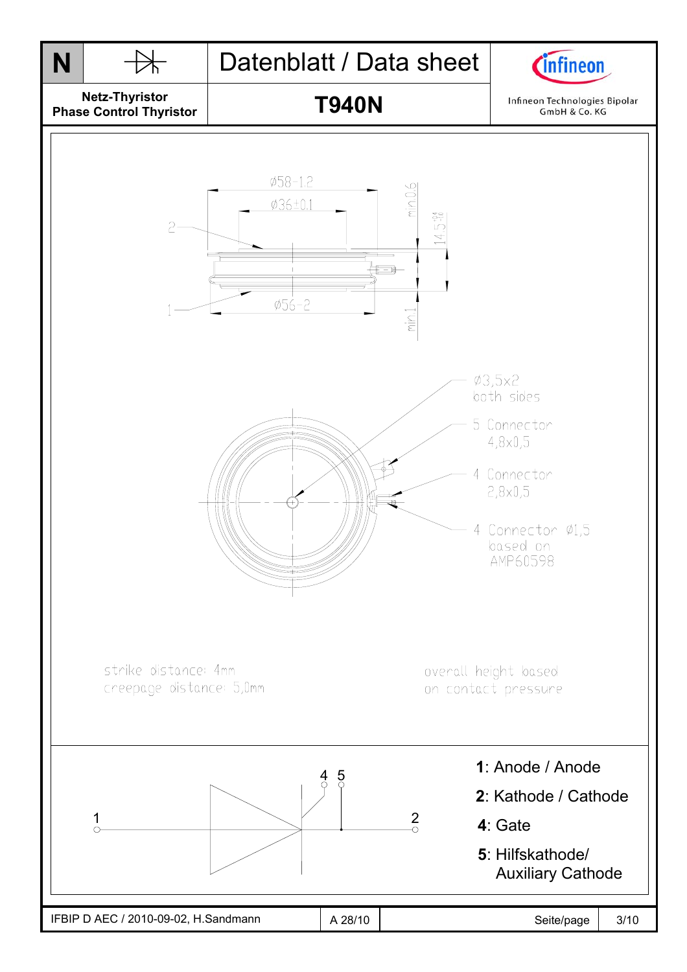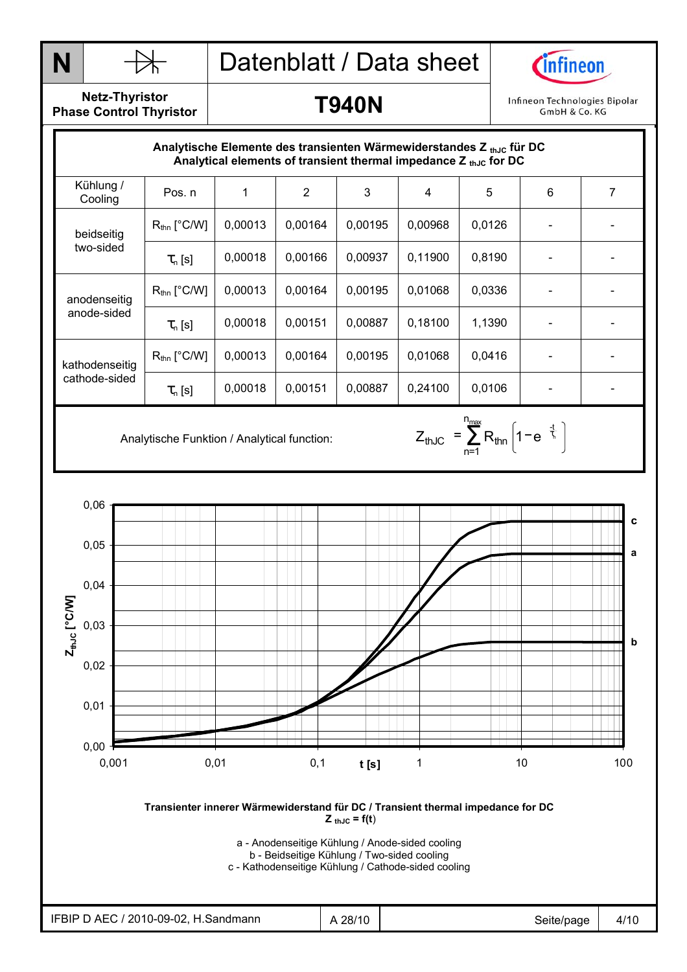



**Netz-Thyristor Phase Control Thyristor** 

anode-sided

cathode-sided

|                         | Analytische Elemente des transienten Wärmewiderstandes $Z_{th,IC}$ für DC |         |         |         | Analytical elements of transient thermal impedance $Z_{thJC}$ for DC |        |   |  |
|-------------------------|---------------------------------------------------------------------------|---------|---------|---------|----------------------------------------------------------------------|--------|---|--|
| Kühlung /<br>Cooling    | Pos. n                                                                    |         | 2       | 3       | 4                                                                    | 5      | 6 |  |
| beidseitig<br>two-sided | $R_{\text{thn}}$ [°C/W]                                                   | 0.00013 | 0,00164 | 0,00195 | 0,00968                                                              | 0,0126 |   |  |
|                         | $\tau_{n}$ [s]                                                            | 0,00018 | 0,00166 | 0,00937 | 0,11900                                                              | 0,8190 | - |  |
| anodenseitig            | $R_{\text{thn}}$ [°C/W]                                                   | 0.00013 | 0,00164 | 0,00195 | 0,01068                                                              | 0,0336 |   |  |

kathodenseitig R<sub>thn</sub> [°C/W] 0,00013 0,00164 0,00195 0,01068 0,0416 - | - | -

 $\tau_{\sf n} \, {\sf [s]}$  | 0,00018 | 0,00151 | 0,00887 | 0,18100 | 1,1390 | - | -

 $\tau_{\sf n} \, {\sf [s]}$  | 0,00018 | 0,00151 | 0,00887 | 0,24100 | 0,0106 | - | -



a - Anodenseitige Kühlung / Anode-sided cooling

b - Beidseitige Kühlung / Two-sided cooling c - Kathodenseitige Kühlung / Cathode-sided cooling

Analytische Funktion / Analytical function:  $Z_{thJC} = \sum_{n=1}^{\infty} R_{thn} \left| 1 - e^{-\frac{1}{\zeta}} \right|$ n<sub>max</sub> n=1 thJC  $=$   $\sum$   $R_{\text{thin}}$  | 1  $-$  e  $^{-}$   $\frac{1}{2}$  $Z_{thJC} = \sum_{\text{thn}} R_{\text{thn}} \left[ 1 - e^{-\frac{t}{\tau_c}} \right]$ 

**T940N** 

Infineon Technologies Bipolar GmbH & Co. KG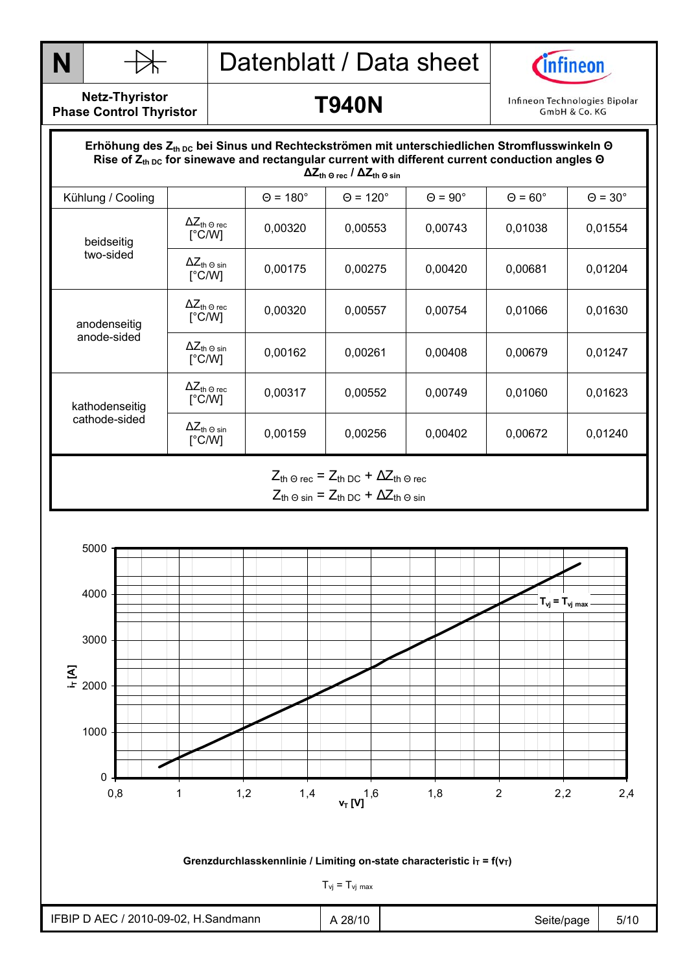



**Netz-Thyristor Phase Control Thyristor** 

#### **T940N**

Infineon Technologies Bipolar GmbH & Co. KG

#### Durchlasskennlinie  **∆Zth Θ rec / ∆Zth Θ sin** Erhöhung des Z<sub>th DC</sub> bei Sinus und Rechteckströmen mit unterschiedlichen Stromflusswinkeln Θ Rise of  $Z_{th\,DC}$  for sinewave and rectangular current with different current conduction angles Θ Kühlung / Cooling  $\begin{vmatrix} \theta = 180^\circ & \theta = 120^\circ & \theta = 90^\circ & \theta = 60^\circ & \theta = 30^\circ \end{vmatrix}$  $ΔZ<sub>th</sub> ⊙ rec$ [°C/W]  $\begin{array}{|c|c|c|c|c|c|c|c|} \hline ^{2\text{L}} \text{th} $\mathbb{G}$_c$ & 0,00320 & 0,00553 & 0,00743 & 0,01038 & 0,01554 \ \hline $\mathbb{G}$_c$ \hline \end{array}$ beidseitig two-sided  $\Delta Z_{\text{th}}$   $\odot$  sin<br> $[^{\circ}C/W]$ <del>^^\_t</del>n.9`sin | 0,00175 | 0,00275 | 0,00420 | 0,00681 | 0,01204<br>[°C/W] | 0,00175 | 0,00275 | 0,00420 | 0,00681 | 0,01204  $\Delta Z_{\text{th} \, \Theta \, \text{rec}}$ [°C/W]  $\frac{12.16}{3}$  (rec  $\begin{bmatrix} 0.00320 \end{bmatrix}$  0,00557 0,00754 0,01066 0,01630 anodenseitig anode-sided  $ΔZ<sub>th</sub> ⊕ sin$ [°C/W] <del>^</del>⊆th 9 sin | 0,00162 | 0,00261 | 0,00408 | 0,00679 | 0,01247<br>[°C/W] | 0,00162 | 0,00261 | 0,00408 | 0,00679 | 0,01247  $ΔZ<sub>th</sub> ⊙ rec$ [°C/W]  $\frac{12 \text{ m } \text{O} \cdot \text{FeC}}{[\text{°C/W}]}$  0,00317 0,00552 0,00749 0,01060 0,01623 kathodenseitig cathode-sided  $\Delta Z_{\text{th -0 sin}}$ <br>
[°C/W] <del>1⊂ln</del> 9 sin | 0,00159 | 0,00256 | 0,00402 | 0,00672 | 0,01240 |<br>[°C/W] | 0,00159 | 0,00256 | 0,00402 | 0,00672 | 0,01240  $Z_{\text{th}} \ominus \text{rec}$  =  $Z_{\text{th}} \ominus \text{C}$  +  $\Delta Z_{\text{th}} \ominus \text{rec}$

 $Z_{th}$  Θ sin =  $Z_{th}$  DC +  $\Delta Z_{th}$  Θ sin

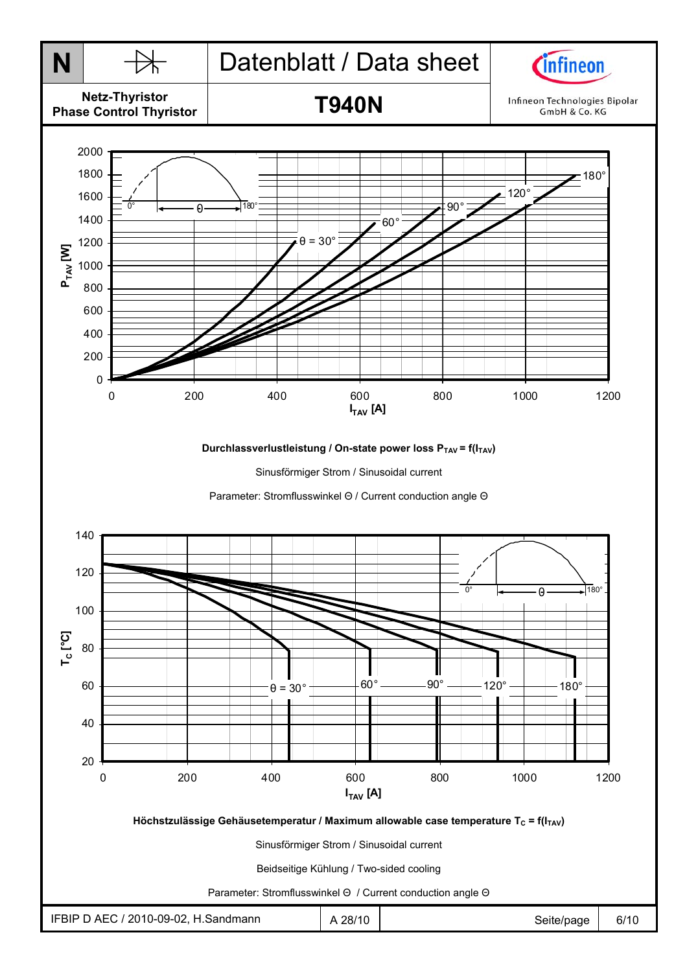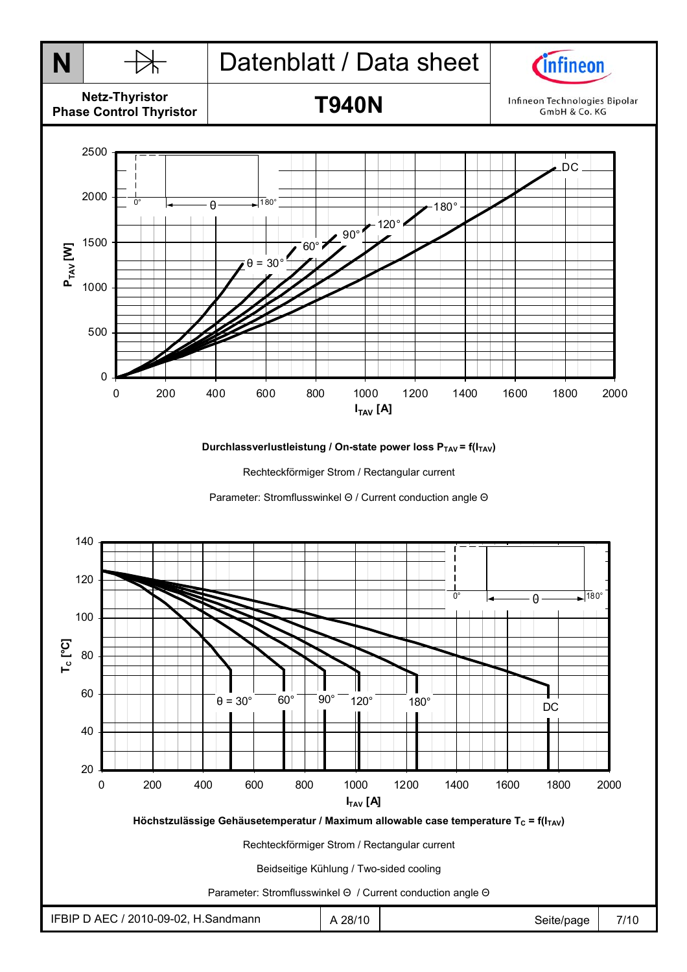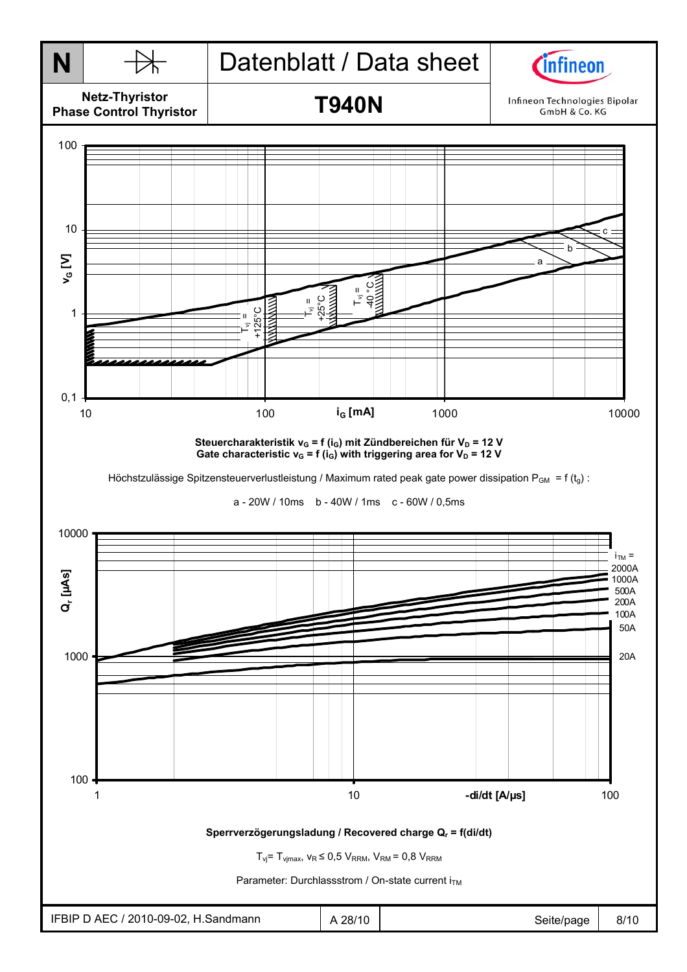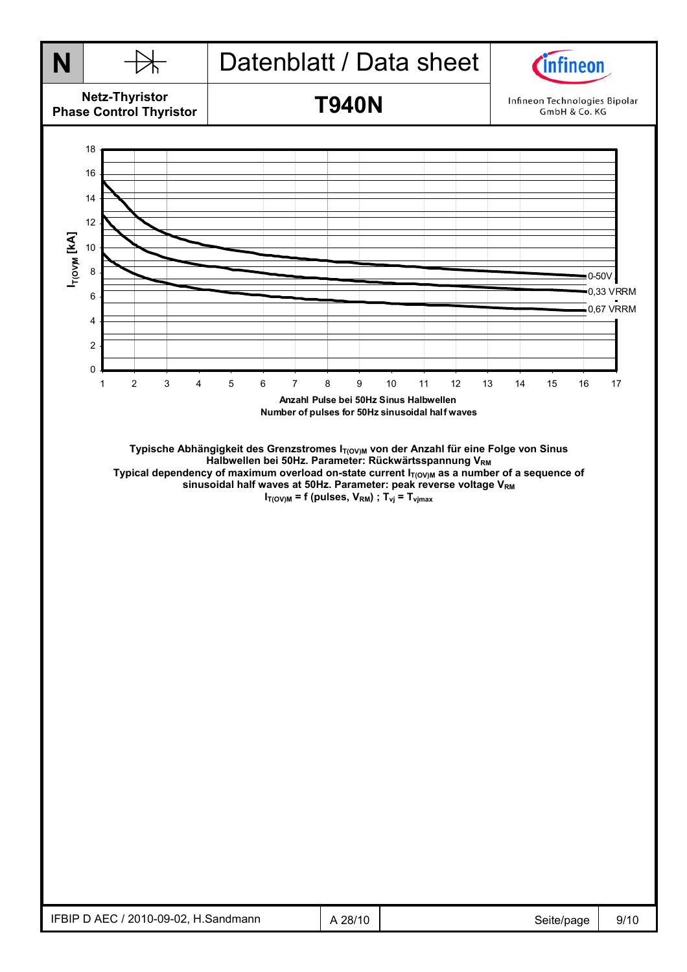